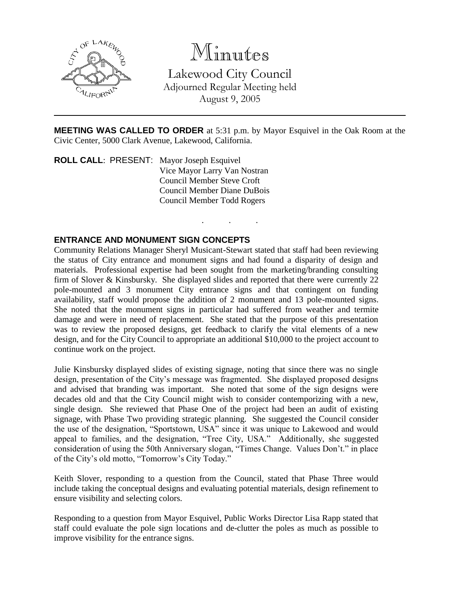

Minutes

Lakewood City Council Adjourned Regular Meeting held August 9, 2005

**MEETING WAS CALLED TO ORDER** at 5:31 p.m. by Mayor Esquivel in the Oak Room at the Civic Center, 5000 Clark Avenue, Lakewood, California.

. . .

**ROLL CALL**: PRESENT: Mayor Joseph Esquivel Vice Mayor Larry Van Nostran Council Member Steve Croft Council Member Diane DuBois Council Member Todd Rogers

### **ENTRANCE AND MONUMENT SIGN CONCEPTS**

Community Relations Manager Sheryl Musicant-Stewart stated that staff had been reviewing the status of City entrance and monument signs and had found a disparity of design and materials. Professional expertise had been sought from the marketing/branding consulting firm of Slover & Kinsbursky. She displayed slides and reported that there were currently 22 pole-mounted and 3 monument City entrance signs and that contingent on funding availability, staff would propose the addition of 2 monument and 13 pole-mounted signs. She noted that the monument signs in particular had suffered from weather and termite damage and were in need of replacement. She stated that the purpose of this presentation was to review the proposed designs, get feedback to clarify the vital elements of a new design, and for the City Council to appropriate an additional \$10,000 to the project account to continue work on the project.

Julie Kinsbursky displayed slides of existing signage, noting that since there was no single design, presentation of the City's message was fragmented. She displayed proposed designs and advised that branding was important. She noted that some of the sign designs were decades old and that the City Council might wish to consider contemporizing with a new, single design. She reviewed that Phase One of the project had been an audit of existing signage, with Phase Two providing strategic planning. She suggested the Council consider the use of the designation, "Sportstown, USA" since it was unique to Lakewood and would appeal to families, and the designation, "Tree City, USA." Additionally, she suggested consideration of using the 50th Anniversary slogan, "Times Change. Values Don't." in place of the City's old motto, "Tomorrow's City Today."

Keith Slover, responding to a question from the Council, stated that Phase Three would include taking the conceptual designs and evaluating potential materials, design refinement to ensure visibility and selecting colors.

Responding to a question from Mayor Esquivel, Public Works Director Lisa Rapp stated that staff could evaluate the pole sign locations and de-clutter the poles as much as possible to improve visibility for the entrance signs.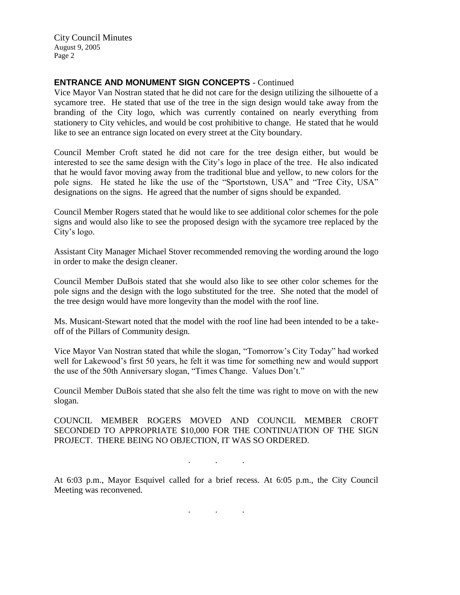City Council Minutes August 9, 2005 Page 2

# **ENTRANCE AND MONUMENT SIGN CONCEPTS** - Continued

Vice Mayor Van Nostran stated that he did not care for the design utilizing the silhouette of a sycamore tree. He stated that use of the tree in the sign design would take away from the branding of the City logo, which was currently contained on nearly everything from stationery to City vehicles, and would be cost prohibitive to change. He stated that he would like to see an entrance sign located on every street at the City boundary.

Council Member Croft stated he did not care for the tree design either, but would be interested to see the same design with the City's logo in place of the tree. He also indicated that he would favor moving away from the traditional blue and yellow, to new colors for the pole signs. He stated he like the use of the "Sportstown, USA" and "Tree City, USA" designations on the signs. He agreed that the number of signs should be expanded.

Council Member Rogers stated that he would like to see additional color schemes for the pole signs and would also like to see the proposed design with the sycamore tree replaced by the City's logo.

Assistant City Manager Michael Stover recommended removing the wording around the logo in order to make the design cleaner.

Council Member DuBois stated that she would also like to see other color schemes for the pole signs and the design with the logo substituted for the tree. She noted that the model of the tree design would have more longevity than the model with the roof line.

Ms. Musicant-Stewart noted that the model with the roof line had been intended to be a takeoff of the Pillars of Community design.

Vice Mayor Van Nostran stated that while the slogan, "Tomorrow's City Today" had worked well for Lakewood's first 50 years, he felt it was time for something new and would support the use of the 50th Anniversary slogan, "Times Change. Values Don't."

Council Member DuBois stated that she also felt the time was right to move on with the new slogan.

COUNCIL MEMBER ROGERS MOVED AND COUNCIL MEMBER CROFT SECONDED TO APPROPRIATE \$10,000 FOR THE CONTINUATION OF THE SIGN PROJECT. THERE BEING NO OBJECTION, IT WAS SO ORDERED.

. . .

At 6:03 p.m., Mayor Esquivel called for a brief recess. At 6:05 p.m., the City Council Meeting was reconvened.

. . .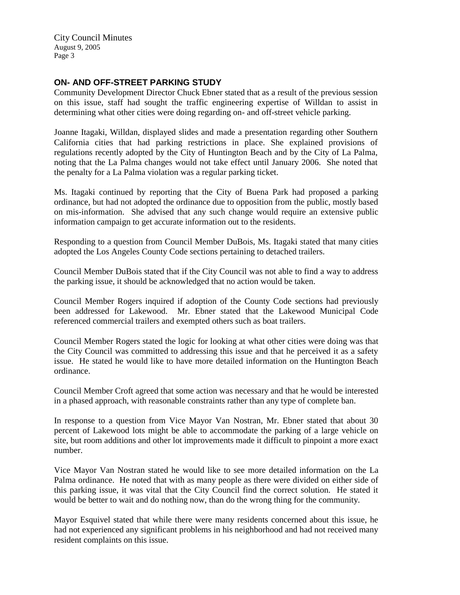City Council Minutes August 9, 2005 Page 3

# **ON- AND OFF-STREET PARKING STUDY**

Community Development Director Chuck Ebner stated that as a result of the previous session on this issue, staff had sought the traffic engineering expertise of Willdan to assist in determining what other cities were doing regarding on- and off-street vehicle parking.

Joanne Itagaki, Willdan, displayed slides and made a presentation regarding other Southern California cities that had parking restrictions in place. She explained provisions of regulations recently adopted by the City of Huntington Beach and by the City of La Palma, noting that the La Palma changes would not take effect until January 2006. She noted that the penalty for a La Palma violation was a regular parking ticket.

Ms. Itagaki continued by reporting that the City of Buena Park had proposed a parking ordinance, but had not adopted the ordinance due to opposition from the public, mostly based on mis-information. She advised that any such change would require an extensive public information campaign to get accurate information out to the residents.

Responding to a question from Council Member DuBois, Ms. Itagaki stated that many cities adopted the Los Angeles County Code sections pertaining to detached trailers.

Council Member DuBois stated that if the City Council was not able to find a way to address the parking issue, it should be acknowledged that no action would be taken.

Council Member Rogers inquired if adoption of the County Code sections had previously been addressed for Lakewood. Mr. Ebner stated that the Lakewood Municipal Code referenced commercial trailers and exempted others such as boat trailers.

Council Member Rogers stated the logic for looking at what other cities were doing was that the City Council was committed to addressing this issue and that he perceived it as a safety issue. He stated he would like to have more detailed information on the Huntington Beach ordinance.

Council Member Croft agreed that some action was necessary and that he would be interested in a phased approach, with reasonable constraints rather than any type of complete ban.

In response to a question from Vice Mayor Van Nostran, Mr. Ebner stated that about 30 percent of Lakewood lots might be able to accommodate the parking of a large vehicle on site, but room additions and other lot improvements made it difficult to pinpoint a more exact number.

Vice Mayor Van Nostran stated he would like to see more detailed information on the La Palma ordinance. He noted that with as many people as there were divided on either side of this parking issue, it was vital that the City Council find the correct solution. He stated it would be better to wait and do nothing now, than do the wrong thing for the community.

Mayor Esquivel stated that while there were many residents concerned about this issue, he had not experienced any significant problems in his neighborhood and had not received many resident complaints on this issue.